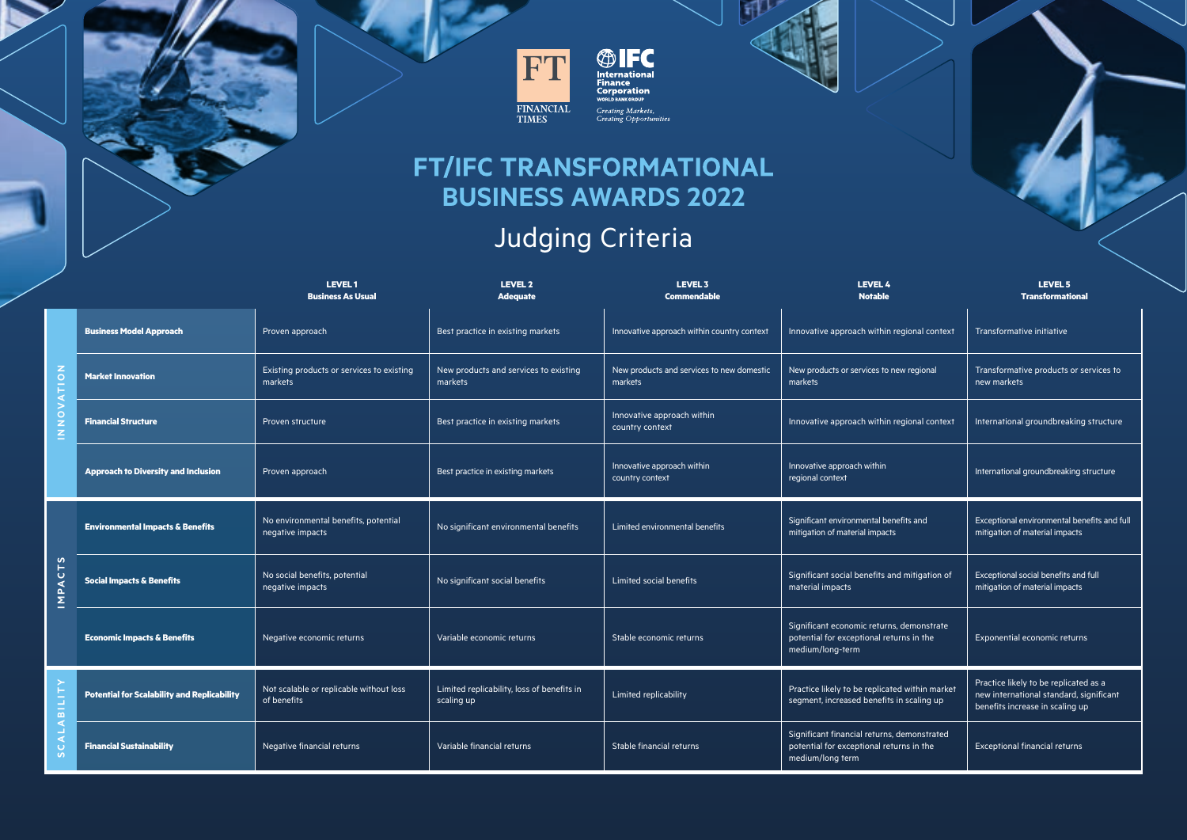



**CONTRACTE:**<br> **International**<br> **Corporation**<br>
WORLD BANK GROUP Creating Markets,<br>Creating Opportunities

## **FT/IFC TRANSFORMATIONAL BUSINESS AWARDS 2022**

## Judging Criteria

|                                  |                                                    | <b>LEVEL1</b><br><b>Business As Usual</b>                | <b>LEVEL 2</b><br><b>Adequate</b>                        | LEVEL 3<br>Commendable                               | <b>LEVEL 4</b><br><b>Notable</b>                                                                            | LEVEL 5<br><b>Transformational</b>                                                                                  |
|----------------------------------|----------------------------------------------------|----------------------------------------------------------|----------------------------------------------------------|------------------------------------------------------|-------------------------------------------------------------------------------------------------------------|---------------------------------------------------------------------------------------------------------------------|
| z<br>$\circ$<br>$\circ$          | <b>Business Model Approach</b>                     | Proven approach                                          | Best practice in existing markets                        | Innovative approach within country context           | Innovative approach within regional context                                                                 | Transformative initiative                                                                                           |
|                                  | <b>Market Innovation</b>                           | Existing products or services to existing<br>markets     | New products and services to existing<br>markets         | New products and services to new domestic<br>markets | New products or services to new regional<br>markets                                                         | Transformative products or services to<br>new markets                                                               |
|                                  | <b>Financial Structure</b>                         | Proven structure                                         | Best practice in existing markets                        | Innovative approach within<br>country context        | Innovative approach within regional context                                                                 | International groundbreaking structure                                                                              |
|                                  | <b>Approach to Diversity and Inclusion</b>         | Proven approach                                          | Best practice in existing markets                        | Innovative approach within<br>country context        | Innovative approach within<br>regional context                                                              | International groundbreaking structure                                                                              |
| n<br>$\frac{1}{3}$<br>Σ          | <b>Environmental Impacts &amp; Benefits</b>        | No environmental benefits, potential<br>negative impacts | No significant environmental benefits                    | Limited environmental benefits                       | Significant environmental benefits and<br>mitigation of material impacts                                    | Exceptional environmental benefits and full<br>mitigation of material impacts                                       |
|                                  | <b>Social Impacts &amp; Benefits</b>               | No social benefits, potential<br>negative impacts        | No significant social benefits                           | Limited social benefits                              | Significant social benefits and mitigation of<br>material impacts                                           | Exceptional social benefits and full<br>mitigation of material impacts                                              |
|                                  | <b>Economic Impacts &amp; Benefits</b>             | Negative economic returns                                | Variable economic returns                                | Stable economic returns                              | Significant economic returns, demonstrate<br>potential for exceptional returns in the<br>medium/long-term   | Exponential economic returns                                                                                        |
| $\overline{AB}$<br>ö<br>$\sigma$ | <b>Potential for Scalability and Replicability</b> | Not scalable or replicable without loss<br>of benefits   | Limited replicability, loss of benefits in<br>scaling up | Limited replicability                                | Practice likely to be replicated within market<br>segment, increased benefits in scaling up                 | Practice likely to be replicated as a<br>new international standard, significant<br>benefits increase in scaling up |
|                                  | <b>Financial Sustainability</b>                    | Negative financial returns                               | Variable financial returns                               | Stable financial returns                             | Significant financial returns, demonstrated<br>potential for exceptional returns in the<br>medium/long term | <b>Exceptional financial returns</b>                                                                                |